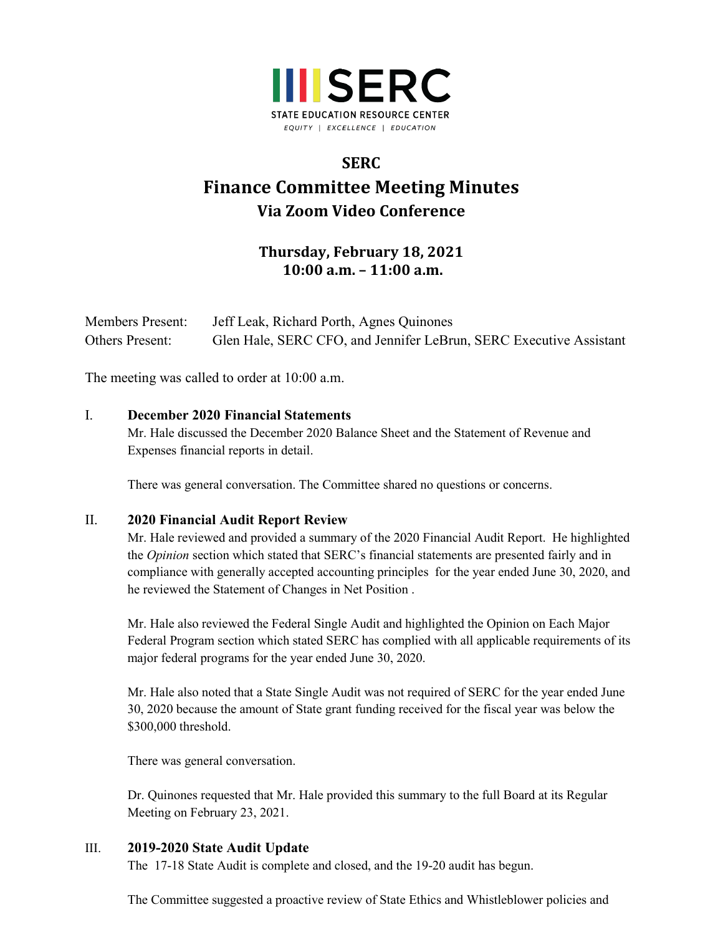

# **SERC Finance Committee Meeting Minutes Via Zoom Video Conference**

## **Thursday, February 18, 2021 10:00 a.m. – 11:00 a.m.**

| <b>Members Present:</b> | Jeff Leak, Richard Porth, Agnes Quinones                           |
|-------------------------|--------------------------------------------------------------------|
| <b>Others Present:</b>  | Glen Hale, SERC CFO, and Jennifer LeBrun, SERC Executive Assistant |

The meeting was called to order at 10:00 a.m.

#### I. **December 2020 Financial Statements**

Mr. Hale discussed the December 2020 Balance Sheet and the Statement of Revenue and Expenses financial reports in detail.

There was general conversation. The Committee shared no questions or concerns.

#### II. **2020 Financial Audit Report Review**

Mr. Hale reviewed and provided a summary of the 2020 Financial Audit Report. He highlighted the *Opinion* section which stated that SERC's financial statements are presented fairly and in compliance with generally accepted accounting principles for the year ended June 30, 2020, and he reviewed the Statement of Changes in Net Position .

Mr. Hale also reviewed the Federal Single Audit and highlighted the Opinion on Each Major Federal Program section which stated SERC has complied with all applicable requirements of its major federal programs for the year ended June 30, 2020.

Mr. Hale also noted that a State Single Audit was not required of SERC for the year ended June 30, 2020 because the amount of State grant funding received for the fiscal year was below the \$300,000 threshold.

There was general conversation.

Dr. Quinones requested that Mr. Hale provided this summary to the full Board at its Regular Meeting on February 23, 2021.

#### III. **2019-2020 State Audit Update**

The 17-18 State Audit is complete and closed, and the 19-20 audit has begun.

The Committee suggested a proactive review of State Ethics and Whistleblower policies and